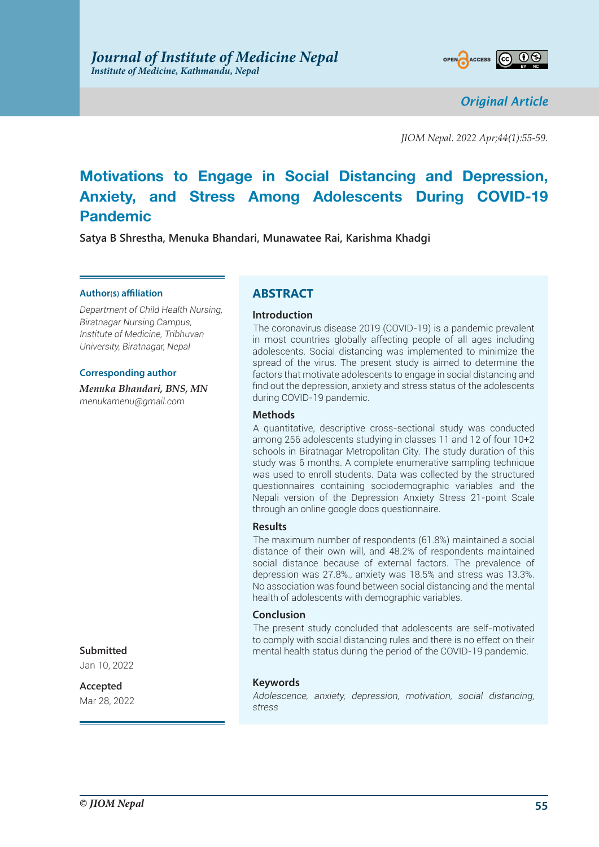

*Original Article*

*JIOM Nepal. 2022 Apr;44(1):55-59.*

# **Motivations to Engage in Social Distancing and Depression, Anxiety, and Stress Among Adolescents During COVID-19 Pandemic**

**Satya B Shrestha, Menuka Bhandari, Munawatee Rai, Karishma Khadgi**

### **Author(s) affiliation**

*Department of Child Health Nursing, Biratnagar Nursing Campus, Institute of Medicine, Tribhuvan University, Biratnagar, Nepal*

### **Corresponding author**

*Menuka Bhandari, BNS, MN menukamenu@gmail.com*

# **ABSTRACT**

### **Introduction**

The coronavirus disease 2019 (COVID-19) is a pandemic prevalent in most countries globally affecting people of all ages including adolescents. Social distancing was implemented to minimize the spread of the virus. The present study is aimed to determine the factors that motivate adolescents to engage in social distancing and find out the depression, anxiety and stress status of the adolescents during COVID-19 pandemic.

### **Methods**

A quantitative, descriptive cross-sectional study was conducted among 256 adolescents studying in classes 11 and 12 of four 10+2 schools in Biratnagar Metropolitan City. The study duration of this study was 6 months. A complete enumerative sampling technique was used to enroll students. Data was collected by the structured questionnaires containing sociodemographic variables and the Nepali version of the Depression Anxiety Stress 21-point Scale through an online google docs questionnaire.

### **Results**

The maximum number of respondents (61.8%) maintained a social distance of their own will, and 48.2% of respondents maintained social distance because of external factors. The prevalence of depression was 27.8%., anxiety was 18.5% and stress was 13.3%. No association was found between social distancing and the mental health of adolescents with demographic variables.

### **Conclusion**

The present study concluded that adolescents are self-motivated to comply with social distancing rules and there is no effect on their mental health status during the period of the COVID-19 pandemic.

### **Keywords**

*Adolescence, anxiety, depression, motivation, social distancing, stress*

### **Submitted**

Jan 10, 2022

# **Accepted**

Mar 28, 2022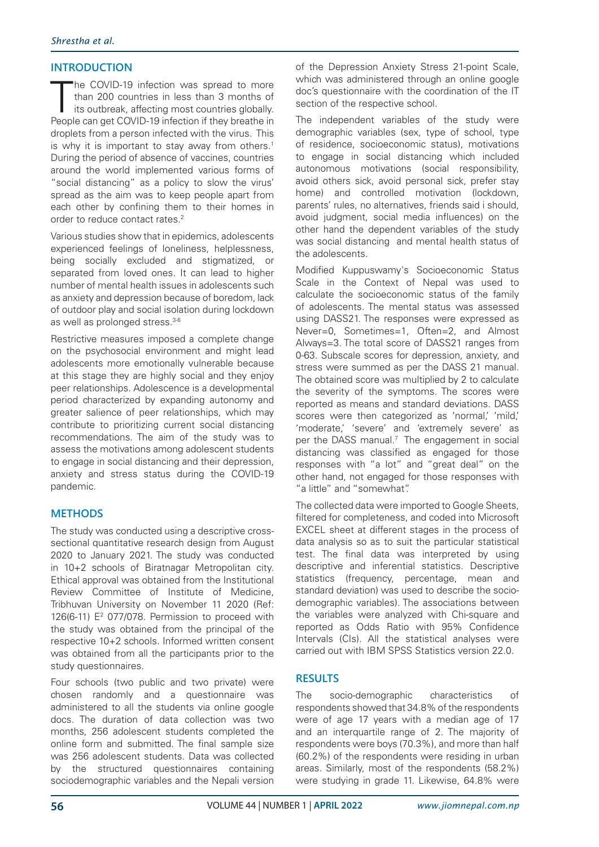# **INTRODUCTION**

The COVID-19 infection was spread to more<br>than 200 countries in less than 3 months of<br>its outbreak, affecting most countries globally.<br>People can get COVID-19 infection if they breathe in he COVID-19 infection was spread to more than 200 countries in less than 3 months of its outbreak, affecting most countries globally. droplets from a person infected with the virus. This is why it is important to stay away from others.<sup>1</sup> During the period of absence of vaccines, countries around the world implemented various forms of "social distancing" as a policy to slow the virus' spread as the aim was to keep people apart from each other by confining them to their homes in order to reduce contact rates.<sup>2</sup>

Various studies show that in epidemics, adolescents experienced feelings of loneliness, helplessness, being socially excluded and stigmatized, or separated from loved ones. It can lead to higher number of mental health issues in adolescents such as anxiety and depression because of boredom, lack of outdoor play and social isolation during lockdown as well as prolonged stress.3-6

Restrictive measures imposed a complete change on the psychosocial environment and might lead adolescents more emotionally vulnerable because at this stage they are highly social and they enjoy peer relationships. Adolescence is a developmental period characterized by expanding autonomy and greater salience of peer relationships, which may contribute to prioritizing current social distancing recommendations. The aim of the study was to assess the motivations among adolescent students to engage in social distancing and their depression, anxiety and stress status during the COVID-19 pandemic.

# **METHODS**

The study was conducted using a descriptive crosssectional quantitative research design from August 2020 to January 2021. The study was conducted in 10+2 schools of Biratnagar Metropolitan city. Ethical approval was obtained from the Institutional Review Committee of Institute of Medicine, Tribhuvan University on November 11 2020 (Ref: 126(6-11)  $E^2$  077/078. Permission to proceed with the study was obtained from the principal of the respective 10+2 schools. Informed written consent was obtained from all the participants prior to the study questionnaires.

Four schools (two public and two private) were chosen randomly and a questionnaire was administered to all the students via online google docs. The duration of data collection was two months, 256 adolescent students completed the online form and submitted. The final sample size was 256 adolescent students. Data was collected by the structured questionnaires containing sociodemographic variables and the Nepali version of the Depression Anxiety Stress 21-point Scale, which was administered through an online google doc's questionnaire with the coordination of the IT section of the respective school.

The independent variables of the study were demographic variables (sex, type of school, type of residence, socioeconomic status), motivations to engage in social distancing which included autonomous motivations (social responsibility, avoid others sick, avoid personal sick, prefer stay home) and controlled motivation (lockdown, parents' rules, no alternatives, friends said i should, avoid judgment, social media influences) on the other hand the dependent variables of the study was social distancing and mental health status of the adolescents.

Modified Kuppuswamy's Socioeconomic Status Scale in the Context of Nepal was used to calculate the socioeconomic status of the family of adolescents. The mental status was assessed using DASS21. The responses were expressed as Never=0, Sometimes=1, Often=2, and Almost Always=3. The total score of DASS21 ranges from 0-63. Subscale scores for depression, anxiety, and stress were summed as per the DASS 21 manual. The obtained score was multiplied by 2 to calculate the severity of the symptoms. The scores were reported as means and standard deviations. DASS scores were then categorized as 'normal,' 'mild,' 'moderate,' 'severe' and 'extremely severe' as per the DASS manual.<sup>7</sup> The engagement in social distancing was classified as engaged for those responses with "a lot" and "great deal" on the other hand, not engaged for those responses with "a little" and "somewhat".

The collected data were imported to Google Sheets, filtered for completeness, and coded into Microsoft EXCEL sheet at different stages in the process of data analysis so as to suit the particular statistical test. The final data was interpreted by using descriptive and inferential statistics. Descriptive statistics (frequency, percentage, mean and standard deviation) was used to describe the sociodemographic variables). The associations between the variables were analyzed with Chi-square and reported as Odds Ratio with 95% Confidence Intervals (CIs). All the statistical analyses were carried out with IBM SPSS Statistics version 22.0.

# **RESULTS**

The socio-demographic characteristics of respondents showed that 34.8% of the respondents were of age 17 years with a median age of 17 and an interquartile range of 2. The majority of respondents were boys (70.3%), and more than half (60.2%) of the respondents were residing in urban areas. Similarly, most of the respondents (58.2%) were studying in grade 11. Likewise, 64.8% were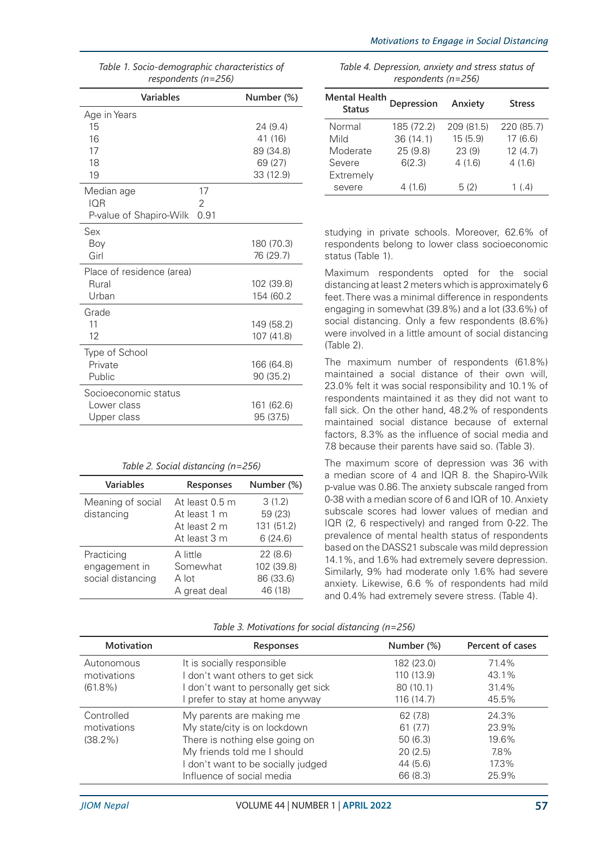| respondents (n=256)             |            |  |  |
|---------------------------------|------------|--|--|
| Variables                       | Number (%) |  |  |
| Age in Years                    |            |  |  |
| 15                              | 24 (9.4)   |  |  |
| 16                              | 41 (16)    |  |  |
| 17                              | 89 (34.8)  |  |  |
| 18                              | 69 (27)    |  |  |
| 19                              | 33 (12.9)  |  |  |
| 17<br>Median age                |            |  |  |
| IOR<br>2                        |            |  |  |
| 0.91<br>P-value of Shapiro-Wilk |            |  |  |
| Sex                             |            |  |  |
| Boy                             | 180 (70.3) |  |  |
| Girl                            | 76 (29.7)  |  |  |
| Place of residence (area)       |            |  |  |
| Rural                           | 102 (39.8) |  |  |
| Urban                           | 154 (60.2  |  |  |
| Grade                           |            |  |  |
| 11                              | 149 (58.2) |  |  |
| 12                              | 107 (41.8) |  |  |
| Type of School                  |            |  |  |
| Private                         | 166 (64.8) |  |  |
| Public                          | 90 (35.2)  |  |  |
| Socioeconomic status            |            |  |  |
| Lower class                     | 161 (62.6) |  |  |
| Upper class                     | 95 (37.5)  |  |  |

| Table 1. Socio-demographic characteristics of |  |
|-----------------------------------------------|--|
| respondents ( $n=256$ )                       |  |

| Variables                                        | Responses                                                      | Number (%)                                    |
|--------------------------------------------------|----------------------------------------------------------------|-----------------------------------------------|
| Meaning of social<br>distancing                  | At least 0.5 m<br>At least 1 m<br>At least 2 m<br>At least 3 m | 3(1.2)<br>59 (23)<br>131 (51.2)<br>6(24.6)    |
| Practicing<br>engagement in<br>social distancing | A little<br>Somewhat<br>A lot<br>A great deal                  | 22(8.6)<br>102 (39.8)<br>86 (33.6)<br>46 (18) |

| Table 4. Depression, anxiety and stress status of |
|---------------------------------------------------|
| respondents ( $n=256$ )                           |

| <b>Mental Health</b><br><b>Status</b> | Depression | Anxiety    | <b>Stress</b> |
|---------------------------------------|------------|------------|---------------|
| Normal                                | 185 (72.2) | 209 (81.5) | 220 (85.7)    |
| Mild                                  | 36(14.1)   | 15(5.9)    | 17(6.6)       |
| Moderate                              | 25(9.8)    | 23(9)      | 12(4.7)       |
| Severe                                | 6(2.3)     | 4(1.6)     | 4(1.6)        |
| Extremely                             |            |            |               |
| severe                                | 4 (1.6)    | 5(2)       | 1 $(4)$       |

studying in private schools. Moreover, 62.6% of respondents belong to lower class socioeconomic status (Table 1).

Maximum respondents opted for the social distancing at least 2 meters which is approximately 6 feet. There was a minimal difference in respondents engaging in somewhat (39.8%) and a lot (33.6%) of social distancing. Only a few respondents (8.6%) were involved in a little amount of social distancing (Table 2).

The maximum number of respondents (61.8%) maintained a social distance of their own will, 23.0% felt it was social responsibility and 10.1% of respondents maintained it as they did not want to fall sick. On the other hand, 48.2% of respondents maintained social distance because of external factors, 8.3% as the influence of social media and 7.8 because their parents have said so. (Table 3).

The maximum score of depression was 36 with a median score of 4 and IQR 8. the Shapiro-Wilk p-value was 0.86. The anxiety subscale ranged from 0-38 with a median score of 6 and IQR of 10. Anxiety subscale scores had lower values of median and IQR (2, 6 respectively) and ranged from 0-22. The prevalence of mental health status of respondents based on the DASS21 subscale was mild depression 14.1%, and 1.6% had extremely severe depression. Similarly, 9% had moderate only 1.6% had severe anxiety. Likewise, 6.6 % of respondents had mild and 0.4% had extremely severe stress. (Table 4).

*Table 3. Motivations for social distancing (n=256)*

| <b>Motivation</b> | <b>Responses</b>                   | Number (%) | Percent of cases |
|-------------------|------------------------------------|------------|------------------|
| Autonomous        | It is socially responsible         | 182 (23.0) | 71.4%            |
| motivations       | I don't want others to get sick    | 110 (13.9) | 43.1%            |
| $(61.8\%)$        | don't want to personally get sick  | 80 (10.1)  | 31.4%            |
|                   | prefer to stay at home anyway      | 116(14.7)  | 45.5%            |
| Controlled        | My parents are making me           | 62 (7.8)   | 24.3%            |
| motivations       | My state/city is on lockdown       | 61(7.7)    | 23.9%            |
| $(38.2\%)$        | There is nothing else going on     | 50(6.3)    | 19.6%            |
|                   | My friends told me I should        | 20(2.5)    | 7.8%             |
|                   | I don't want to be socially judged | 44(5.6)    | 17.3%            |
|                   | Influence of social media          | 66 (8.3)   | 25.9%            |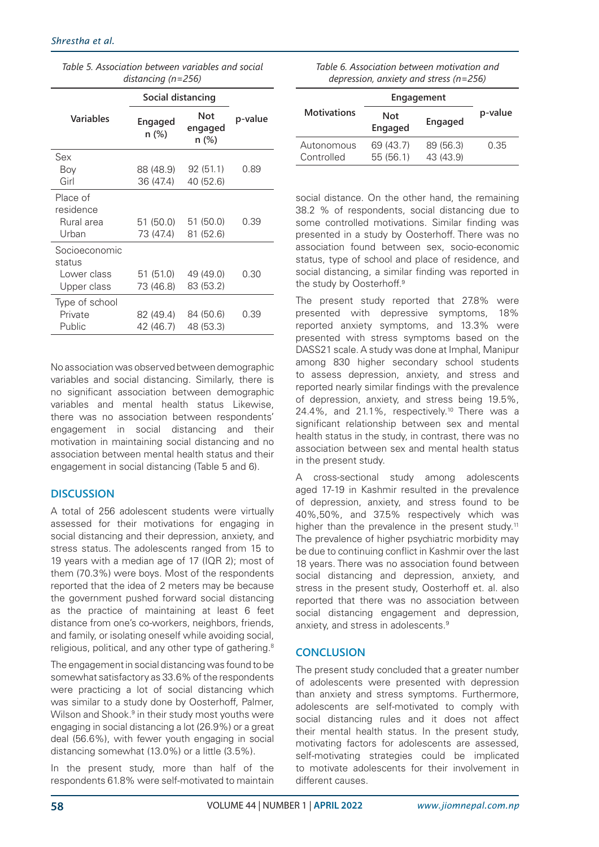| Table 5. Association between variables and social |
|---------------------------------------------------|
| distancing ( $n = 256$ )                          |

| Social distancing                                     |                        |                         |         |
|-------------------------------------------------------|------------------------|-------------------------|---------|
| Variables                                             | Engaged<br>n (%)       | Not<br>engaged<br>n (%) | p-value |
| Sex<br>Boy<br>Girl                                    | 88 (48.9)<br>36 (47.4) | 92(51.1)<br>40 (52.6)   | 0.89    |
| Place of<br>residence<br>Rural area<br>Urban          | 51 (50.0)<br>73 (47.4) | 51 (50.0)<br>81 (52.6)  | 0.39    |
| Socioeconomic<br>status<br>Lower class<br>Upper class | 51 (51.0)<br>73 (46.8) | 49 (49.0)<br>83 (53.2)  | 0.30    |
| Type of school<br>Private<br>Public                   | 82 (49.4)<br>42 (46.7) | 84 (50.6)<br>48 (53.3)  | 0.39    |

No association was observed between demographic variables and social distancing. Similarly, there is no significant association between demographic variables and mental health status Likewise, there was no association between respondents' engagement in social distancing and their motivation in maintaining social distancing and no association between mental health status and their engagement in social distancing (Table 5 and 6).

# **DISCUSSION**

A total of 256 adolescent students were virtually assessed for their motivations for engaging in social distancing and their depression, anxiety, and stress status. The adolescents ranged from 15 to 19 years with a median age of 17 (IQR 2); most of them (70.3%) were boys. Most of the respondents reported that the idea of 2 meters may be because the government pushed forward social distancing as the practice of maintaining at least 6 feet distance from one's co-workers, neighbors, friends, and family, or isolating oneself while avoiding social, religious, political, and any other type of gathering.<sup>8</sup>

The engagement in social distancing was found to be somewhat satisfactory as 33.6% of the respondents were practicing a lot of social distancing which was similar to a study done by Oosterhoff, Palmer, Wilson and Shook.<sup>9</sup> in their study most youths were engaging in social distancing a lot (26.9%) or a great deal (56.6%), with fewer youth engaging in social distancing somewhat (13.0%) or a little (3.5%).

In the present study, more than half of the respondents 61.8% were self-motivated to maintain

| Table 6. Association between motivation and  |  |
|----------------------------------------------|--|
| depression, anxiety and stress ( $n = 256$ ) |  |

|                          | Engagement             |                        |         |
|--------------------------|------------------------|------------------------|---------|
| <b>Motivations</b>       | Not<br><b>Engaged</b>  | Engaged                | p-value |
| Autonomous<br>Controlled | 69 (43.7)<br>55 (56.1) | 89 (56.3)<br>43 (43.9) | 0.35    |

social distance. On the other hand, the remaining 38.2 % of respondents, social distancing due to some controlled motivations. Similar finding was presented in a study by Oosterhoff. There was no association found between sex, socio-economic status, type of school and place of residence, and social distancing, a similar finding was reported in the study by Oosterhoff.<sup>9</sup>

The present study reported that 27.8% were presented with depressive symptoms, 18% reported anxiety symptoms, and 13.3% were presented with stress symptoms based on the DASS21 scale. A study was done at Imphal, Manipur among 830 higher secondary school students to assess depression, anxiety, and stress and reported nearly similar findings with the prevalence of depression, anxiety, and stress being 19.5%, 24.4%, and 21.1%, respectively.10 There was a significant relationship between sex and mental health status in the study, in contrast, there was no association between sex and mental health status in the present study.

A cross-sectional study among adolescents aged 17-19 in Kashmir resulted in the prevalence of depression, anxiety, and stress found to be 40%,50%, and 37.5% respectively which was higher than the prevalence in the present study.<sup>11</sup> The prevalence of higher psychiatric morbidity may be due to continuing conflict in Kashmir over the last 18 years. There was no association found between social distancing and depression, anxiety, and stress in the present study, Oosterhoff et. al. also reported that there was no association between social distancing engagement and depression, anxiety, and stress in adolescents.<sup>9</sup>

# **CONCLUSION**

The present study concluded that a greater number of adolescents were presented with depression than anxiety and stress symptoms. Furthermore, adolescents are self-motivated to comply with social distancing rules and it does not affect their mental health status. In the present study, motivating factors for adolescents are assessed, self-motivating strategies could be implicated to motivate adolescents for their involvement in different causes.